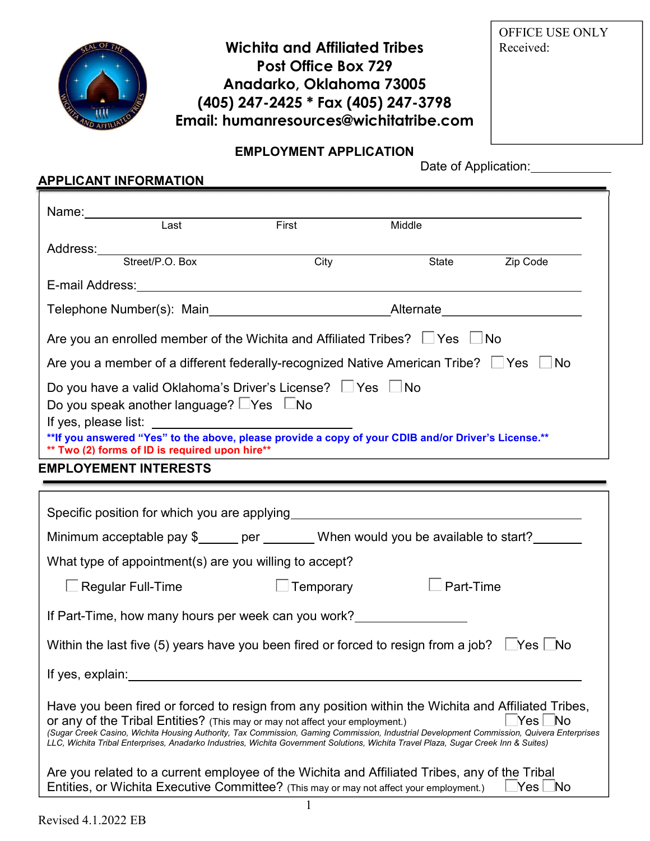

# Wichita and Affiliated Tribes Post Office Box 729 Anadarko, Oklahoma 73005 (405) 247-2425 \* Fax (405) 247-3798 Email: humanresources@wichitatribe.com

OFFICE USE ONLY Received:

### EMPLOYMENT APPLICATION

Date of Application:

## APPLICANT INFORMATION

|                                                                                                         | $\overline{\mathsf{Last}}$                          | First                                                                                                                                                                                                                                                                                                                                                                                                                                                                   | Middle                                                                                                           |                               |
|---------------------------------------------------------------------------------------------------------|-----------------------------------------------------|-------------------------------------------------------------------------------------------------------------------------------------------------------------------------------------------------------------------------------------------------------------------------------------------------------------------------------------------------------------------------------------------------------------------------------------------------------------------------|------------------------------------------------------------------------------------------------------------------|-------------------------------|
|                                                                                                         |                                                     | Address:<br>Street/P.O. Box City                                                                                                                                                                                                                                                                                                                                                                                                                                        |                                                                                                                  |                               |
|                                                                                                         |                                                     |                                                                                                                                                                                                                                                                                                                                                                                                                                                                         | State                                                                                                            | Zip Code                      |
|                                                                                                         |                                                     |                                                                                                                                                                                                                                                                                                                                                                                                                                                                         |                                                                                                                  |                               |
|                                                                                                         |                                                     | Telephone Number(s): Main___________________________________Alternate____________                                                                                                                                                                                                                                                                                                                                                                                       |                                                                                                                  |                               |
|                                                                                                         |                                                     | Are you an enrolled member of the Wichita and Affiliated Tribes? $\Box$ Yes $\Box$ No                                                                                                                                                                                                                                                                                                                                                                                   |                                                                                                                  |                               |
|                                                                                                         |                                                     | Are you a member of a different federally-recognized Native American Tribe? $\Box$ Yes $\Box$ No                                                                                                                                                                                                                                                                                                                                                                        |                                                                                                                  |                               |
|                                                                                                         |                                                     | Do you have a valid Oklahoma's Driver's License? Ves No                                                                                                                                                                                                                                                                                                                                                                                                                 |                                                                                                                  |                               |
|                                                                                                         | Do you speak another language? $\Box$ Yes $\Box$ No |                                                                                                                                                                                                                                                                                                                                                                                                                                                                         |                                                                                                                  |                               |
| If yes, please list:                                                                                    |                                                     | If yes, please list:<br>**If you answered "Yes" to the above, please provide a copy of your CDIB and/or Driver's License.**                                                                                                                                                                                                                                                                                                                                             |                                                                                                                  |                               |
|                                                                                                         | ** Two (2) forms of ID is required upon hire**      |                                                                                                                                                                                                                                                                                                                                                                                                                                                                         | and the control of the control of the control of the control of the control of the control of the control of the |                               |
| <b>EMPLOYEMENT INTERESTS</b>                                                                            |                                                     |                                                                                                                                                                                                                                                                                                                                                                                                                                                                         |                                                                                                                  |                               |
|                                                                                                         |                                                     | <u> 1989 - Andrea Andrew Maria (h. 1989).</u>                                                                                                                                                                                                                                                                                                                                                                                                                           |                                                                                                                  |                               |
|                                                                                                         |                                                     |                                                                                                                                                                                                                                                                                                                                                                                                                                                                         |                                                                                                                  |                               |
|                                                                                                         |                                                     | Minimum acceptable pay \$_____ per _______ When would you be available to start?                                                                                                                                                                                                                                                                                                                                                                                        |                                                                                                                  |                               |
|                                                                                                         |                                                     | What type of appointment(s) are you willing to accept?                                                                                                                                                                                                                                                                                                                                                                                                                  |                                                                                                                  |                               |
| $\Box$ Regular Full-Time                                                                                |                                                     | <b>Example Temporary</b>                                                                                                                                                                                                                                                                                                                                                                                                                                                | $\Box$ Part-Time                                                                                                 |                               |
|                                                                                                         |                                                     | If Part-Time, how many hours per week can you work?_____________________________                                                                                                                                                                                                                                                                                                                                                                                        |                                                                                                                  |                               |
| Within the last five (5) years have you been fired or forced to resign from a job? $\Box$ Yes $\Box$ No |                                                     |                                                                                                                                                                                                                                                                                                                                                                                                                                                                         |                                                                                                                  |                               |
| If yes, explain:                                                                                        |                                                     |                                                                                                                                                                                                                                                                                                                                                                                                                                                                         |                                                                                                                  |                               |
|                                                                                                         |                                                     | Have you been fired or forced to resign from any position within the Wichita and Affiliated Tribes,<br>Or any of the Tribal Entities? (This may or may not affect your employment.)<br>(Sugar Creek Casino, Wichita Housing Authority, Tax Commission, Gaming Commission, Industrial Development Commission, Quivera Enterprises<br>LLC, Wichita Tribal Enterprises, Anadarko Industries, Wichita Government Solutions, Wichita Travel Plaza, Sugar Creek Inn & Suites) |                                                                                                                  |                               |
|                                                                                                         |                                                     | Are you related to a current employee of the Wichita and Affiliated Tribes, any of the Tribal<br>Entities, or Wichita Executive Committee? (This may or may not affect your employment.)                                                                                                                                                                                                                                                                                |                                                                                                                  | $\sf Nes\,\blacksquare\sf No$ |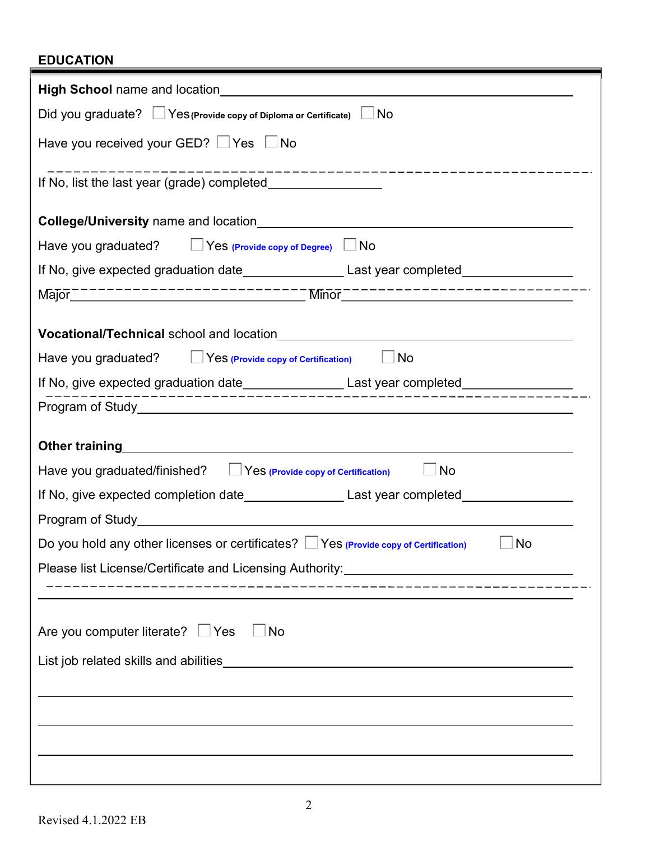## EDUCATION

| Did you graduate? Yes (Provide copy of Diploma or Certificate) No                                                                                                                                                             |  |  |  |  |
|-------------------------------------------------------------------------------------------------------------------------------------------------------------------------------------------------------------------------------|--|--|--|--|
| Have you received your GED? Yes No                                                                                                                                                                                            |  |  |  |  |
|                                                                                                                                                                                                                               |  |  |  |  |
| College/University name and location <b>College Act and Service 2018</b>                                                                                                                                                      |  |  |  |  |
| Have you graduated? $\Box$ Yes (Provide copy of Degree) $\Box$ No                                                                                                                                                             |  |  |  |  |
| If No, give expected graduation date_______________________Last year completed_____________________                                                                                                                           |  |  |  |  |
|                                                                                                                                                                                                                               |  |  |  |  |
|                                                                                                                                                                                                                               |  |  |  |  |
| Have you graduated?<br>Yes (Provide copy of Certification)<br>$\Box$ No                                                                                                                                                       |  |  |  |  |
| If No, give expected graduation date______________________Last year completed______________________<br>______________________________                                                                                         |  |  |  |  |
|                                                                                                                                                                                                                               |  |  |  |  |
| Other training example and the state of the state of the state of the state of the state of the state of the state of the state of the state of the state of the state of the state of the state of the state of the state of |  |  |  |  |
| Have you graduated/finished?   Yes (Provide copy of Certification)<br>$\Box$ No                                                                                                                                               |  |  |  |  |
|                                                                                                                                                                                                                               |  |  |  |  |
| Program of Study <b>Example 20</b> Study <b>Program of Study</b>                                                                                                                                                              |  |  |  |  |
| Do you hold any other licenses or certificates? $\Box$ Yes (Provide copy of Certification) $\Box$ No                                                                                                                          |  |  |  |  |
| Please list License/Certificate and Licensing Authority: ________________________                                                                                                                                             |  |  |  |  |
|                                                                                                                                                                                                                               |  |  |  |  |
| Are you computer literate? $\Box$ Yes<br>$\Box$ No                                                                                                                                                                            |  |  |  |  |
|                                                                                                                                                                                                                               |  |  |  |  |
|                                                                                                                                                                                                                               |  |  |  |  |
|                                                                                                                                                                                                                               |  |  |  |  |
|                                                                                                                                                                                                                               |  |  |  |  |
|                                                                                                                                                                                                                               |  |  |  |  |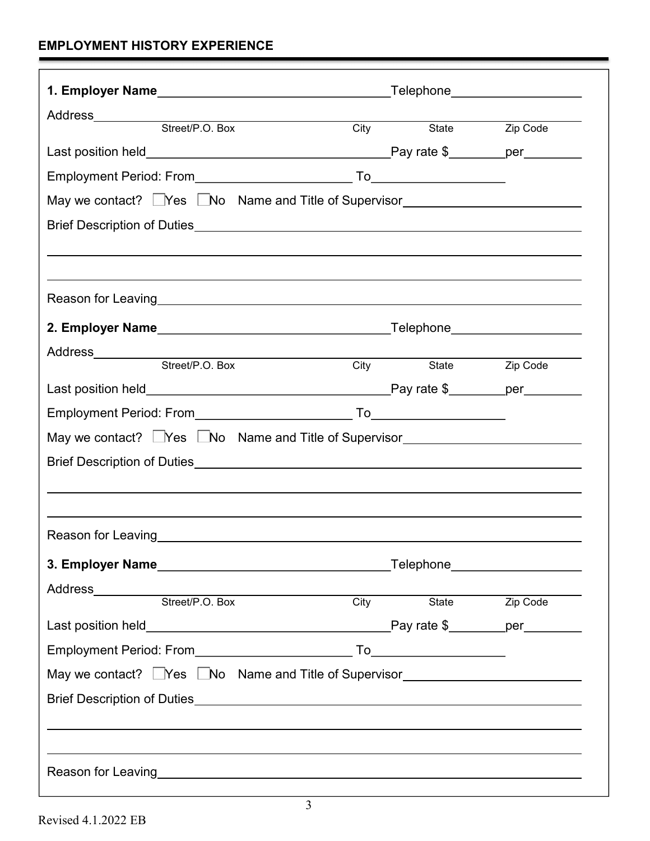## EMPLOYMENT HISTORY EXPERIENCE

| Address__________                                                                                                                                                                                                              |      |                     |          |
|--------------------------------------------------------------------------------------------------------------------------------------------------------------------------------------------------------------------------------|------|---------------------|----------|
| Street/P.O. Box                                                                                                                                                                                                                | City | State               | Zip Code |
|                                                                                                                                                                                                                                |      |                     |          |
|                                                                                                                                                                                                                                |      |                     |          |
| May we contact? Nes No Name and Title of Supervisor                                                                                                                                                                            |      |                     |          |
|                                                                                                                                                                                                                                |      |                     |          |
|                                                                                                                                                                                                                                |      |                     |          |
|                                                                                                                                                                                                                                |      |                     |          |
|                                                                                                                                                                                                                                |      |                     |          |
|                                                                                                                                                                                                                                |      |                     |          |
| Address__________<br><u> Andrew Maria (1989)</u>                                                                                                                                                                               |      |                     |          |
| Street/P.O. Box                                                                                                                                                                                                                |      | City State          | Zip Code |
|                                                                                                                                                                                                                                |      |                     |          |
|                                                                                                                                                                                                                                |      |                     |          |
| May we contact? □Yes □No Name and Title of Supervisor__________________________                                                                                                                                                |      |                     |          |
|                                                                                                                                                                                                                                |      |                     |          |
|                                                                                                                                                                                                                                |      |                     |          |
|                                                                                                                                                                                                                                |      |                     |          |
| Reason for Leaving                                                                                                                                                                                                             |      |                     |          |
|                                                                                                                                                                                                                                |      |                     |          |
| Address                                                                                                                                                                                                                        |      |                     |          |
| Street/P.O. Box                                                                                                                                                                                                                |      | City State Zip Code |          |
|                                                                                                                                                                                                                                |      |                     |          |
|                                                                                                                                                                                                                                |      |                     |          |
| May we contact? Les LNo Name and Title of Supervisor                                                                                                                                                                           |      |                     |          |
|                                                                                                                                                                                                                                |      |                     |          |
|                                                                                                                                                                                                                                |      |                     |          |
|                                                                                                                                                                                                                                |      |                     |          |
|                                                                                                                                                                                                                                |      |                     |          |
| Reason for Leaving the contract of the contract of the contract of the contract of the contract of the contract of the contract of the contract of the contract of the contract of the contract of the contract of the contrac |      |                     |          |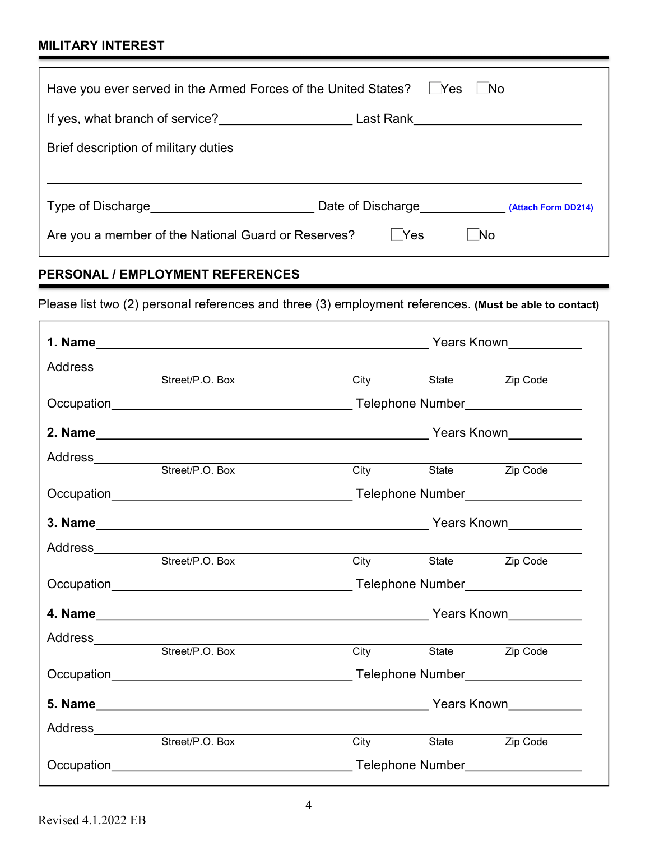## MILITARY INTEREST

| Have you ever served in the Armed Forces of the United States? LYes |                                       | $\blacksquare$ No |  |  |
|---------------------------------------------------------------------|---------------------------------------|-------------------|--|--|
| Last Rank_______________________                                    |                                       |                   |  |  |
|                                                                     |                                       |                   |  |  |
|                                                                     |                                       |                   |  |  |
| Type of Discharge <b>Type of Discharge</b>                          | Date of Discharge (Attach Form DD214) |                   |  |  |
| Are you a member of the National Guard or Reserves?                 | l Yes                                 | No.               |  |  |

## PERSONAL / EMPLOYMENT REFERENCES

Please list two (2) personal references and three (3) employment references. (Must be able to contact)

|                    |                                                    | Years Known___________ |                     |                        |
|--------------------|----------------------------------------------------|------------------------|---------------------|------------------------|
|                    |                                                    |                        |                     |                        |
|                    |                                                    |                        | City State Zip Code |                        |
|                    |                                                    |                        |                     |                        |
|                    |                                                    |                        |                     |                        |
|                    |                                                    |                        |                     |                        |
|                    |                                                    | City                   | State               | Zip Code               |
|                    |                                                    |                        |                     |                        |
|                    |                                                    |                        |                     |                        |
| Address___________ | <u> 1989 - John Stein, Amerikaansk politiker (</u> |                        |                     |                        |
|                    | Street/P.O. Box                                    | City                   |                     | State <b>Zip Code</b>  |
|                    |                                                    |                        |                     |                        |
|                    |                                                    |                        |                     |                        |
| Address_________   |                                                    |                        |                     |                        |
|                    | Street/P.O. Box                                    | <b>City</b>            | State               | $\overline{Z}$ ip Code |
|                    |                                                    |                        |                     |                        |
|                    |                                                    |                        |                     |                        |
| Address_________   |                                                    |                        |                     |                        |
|                    | Street/P.O. Box                                    | City                   | State               | Zip Code               |
|                    |                                                    |                        |                     |                        |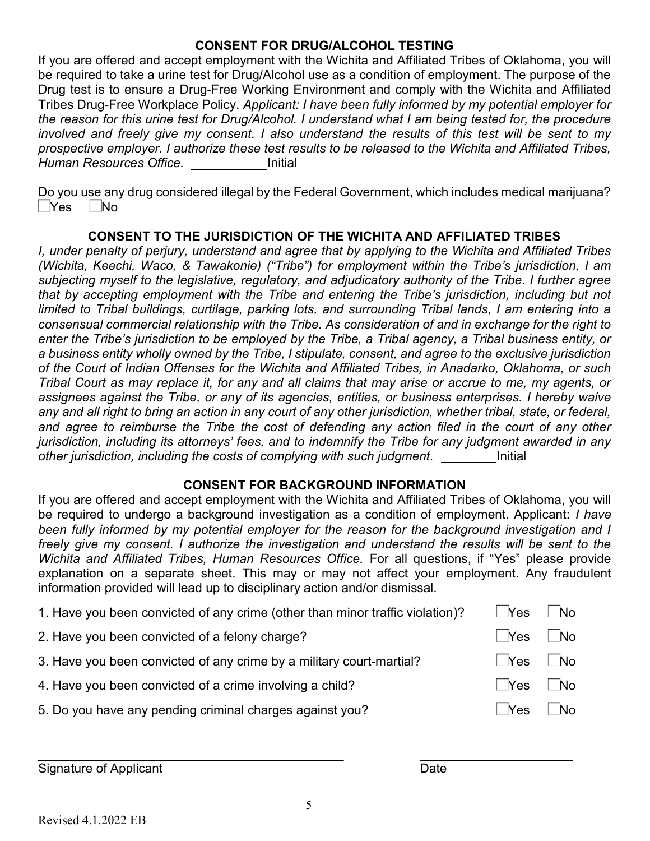### CONSENT FOR DRUG/ALCOHOL TESTING

If you are offered and accept employment with the Wichita and Affiliated Tribes of Oklahoma, you will be required to take a urine test for Drug/Alcohol use as a condition of employment. The purpose of the Drug test is to ensure a Drug-Free Working Environment and comply with the Wichita and Affiliated Tribes Drug-Free Workplace Policy. Applicant: I have been fully informed by my potential employer for the reason for this urine test for Drug/Alcohol. I understand what I am being tested for, the procedure involved and freely give my consent. I also understand the results of this test will be sent to my prospective employer. I authorize these test results to be released to the Wichita and Affiliated Tribes, Human Resources Office. The limitial

Do you use any drug considered illegal by the Federal Government, which includes medical marijuana?  $\neg$ Yes  $\neg$ No

### CONSENT TO THE JURISDICTION OF THE WICHITA AND AFFILIATED TRIBES

I, under penalty of perjury, understand and agree that by applying to the Wichita and Affiliated Tribes (Wichita, Keechi, Waco, & Tawakonie) ("Tribe") for employment within the Tribe's jurisdiction, I am subjecting myself to the legislative, regulatory, and adjudicatory authority of the Tribe. I further agree that by accepting employment with the Tribe and entering the Tribe's jurisdiction, including but not limited to Tribal buildings, curtilage, parking lots, and surrounding Tribal lands, I am entering into a consensual commercial relationship with the Tribe. As consideration of and in exchange for the right to enter the Tribe's jurisdiction to be employed by the Tribe, a Tribal agency, a Tribal business entity, or a business entity wholly owned by the Tribe, I stipulate, consent, and agree to the exclusive jurisdiction of the Court of Indian Offenses for the Wichita and Affiliated Tribes, in Anadarko, Oklahoma, or such Tribal Court as may replace it, for any and all claims that may arise or accrue to me, my agents, or assignees against the Tribe, or any of its agencies, entities, or business enterprises. I hereby waive any and all right to bring an action in any court of any other jurisdiction, whether tribal, state, or federal, and agree to reimburse the Tribe the cost of defending any action filed in the court of any other jurisdiction, including its attorneys' fees, and to indemnify the Tribe for any judgment awarded in any other jurisdiction, including the costs of complying with such judgment.

#### CONSENT FOR BACKGROUND INFORMATION

If you are offered and accept employment with the Wichita and Affiliated Tribes of Oklahoma, you will be required to undergo a background investigation as a condition of employment. Applicant: *I have* been fully informed by my potential employer for the reason for the background investigation and I freely give my consent. I authorize the investigation and understand the results will be sent to the Wichita and Affiliated Tribes, Human Resources Office. For all questions, if "Yes" please provide explanation on a separate sheet. This may or may not affect your employment. Any fraudulent information provided will lead up to disciplinary action and/or dismissal.

| 1. Have you been convicted of any crime (other than minor traffic violation)? | Yes    | - No      |
|-------------------------------------------------------------------------------|--------|-----------|
| 2. Have you been convicted of a felony charge?                                | Yes    | No.       |
| 3. Have you been convicted of any crime by a military court-martial?          | Yes    | $\Box$ No |
| 4. Have you been convicted of a crime involving a child?                      | l Yes  | No.       |
| 5. Do you have any pending criminal charges against you?                      | ⊥ TYes | No        |
|                                                                               |        |           |

Signature of Applicant **Date** 

l